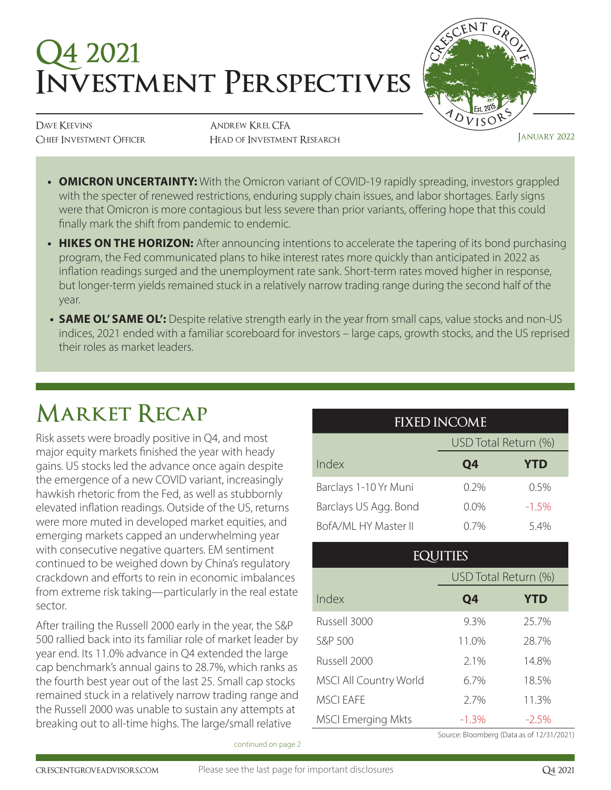# **Q4 2021 Investment Perspectives**



DAVE KEEVINS Chief Investment Officer

Andrew Krei, CFA Head of Investment Research January 2022

- **• OMICRON UNCERTAINTY:** With the Omicron variant of COVID-19 rapidly spreading, investors grappled with the specter of renewed restrictions, enduring supply chain issues, and labor shortages. Early signs were that Omicron is more contagious but less severe than prior variants, offering hope that this could finally mark the shift from pandemic to endemic.
- **HIKES ON THE HORIZON:** After announcing intentions to accelerate the tapering of its bond purchasing program, the Fed communicated plans to hike interest rates more quickly than anticipated in 2022 as inflation readings surged and the unemployment rate sank. Short-term rates moved higher in response, but longer-term yields remained stuck in a relatively narrow trading range during the second half of the year.
- **• SAME OL' SAME OL':** Despite relative strength early in the year from small caps, value stocks and non-US indices, 2021 ended with a familiar scoreboard for investors – large caps, growth stocks, and the US reprised their roles as market leaders.

## **Market Recap**

Risk assets were broadly positive in Q4, and most major equity markets finished the year with heady gains. US stocks led the advance once again despite the emergence of a new COVID variant, increasingly hawkish rhetoric from the Fed, as well as stubbornly elevated inflation readings. Outside of the US, returns were more muted in developed market equities, and emerging markets capped an underwhelming year with consecutive negative quarters. EM sentiment continued to be weighed down by China's regulatory crackdown and efforts to rein in economic imbalances from extreme risk taking—particularly in the real estate sector.

After trailing the Russell 2000 early in the year, the S&P 500 rallied back into its familiar role of market leader by year end. Its 11.0% advance in Q4 extended the large cap benchmark's annual gains to 28.7%, which ranks as the fourth best year out of the last 25. Small cap stocks remained stuck in a relatively narrow trading range and the Russell 2000 was unable to sustain any attempts at breaking out to all-time highs. The large/small relative

| <b>FIXED INCOME</b>   |                      |            |
|-----------------------|----------------------|------------|
|                       | USD Total Return (%) |            |
| Index                 | Q4                   | <b>YTD</b> |
| Barclays 1-10 Yr Muni | 0.2%                 | $0.5\%$    |
| Barclays US Agg. Bond | $0.0\%$              | $-1.5%$    |
| BofA/ML HY Master II  | $0.7\%$              | 5.4%       |

### **EQUITIES** USD Total Return (%) Index **Q4 YTD** Russell 3000 9.3% 25.7% S&P 500 11.0% 28.7% Russell 2000 2.1% 14.8% MSCI All Country World 6.7% 18.5% MSCI EAFE 2.7% 11.3% MSCI Emerging Mkts -1.3% -2.5%

Source: Bloomberg (Data as of 12/31/2021)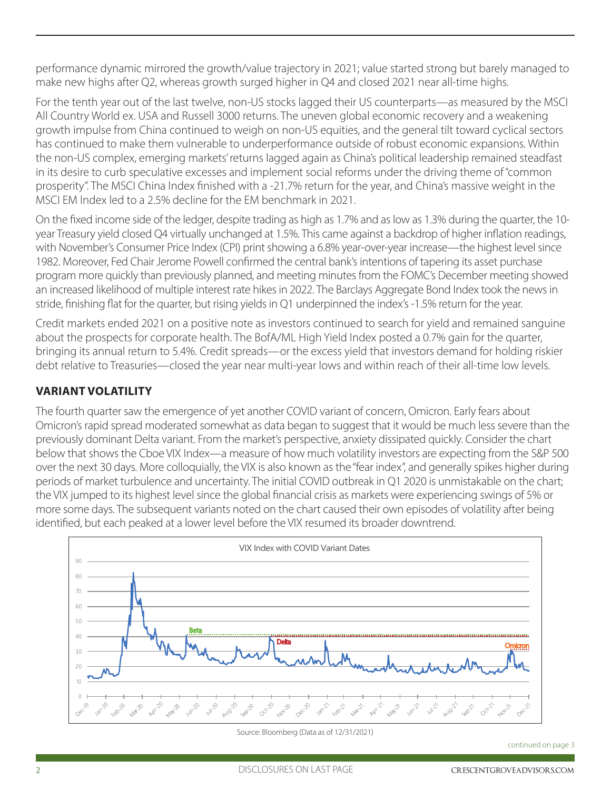performance dynamic mirrored the growth/value trajectory in 2021; value started strong but barely managed to make new highs after Q2, whereas growth surged higher in Q4 and closed 2021 near all-time highs.

For the tenth year out of the last twelve, non-US stocks lagged their US counterparts—as measured by the MSCI All Country World ex. USA and Russell 3000 returns. The uneven global economic recovery and a weakening growth impulse from China continued to weigh on non-US equities, and the general tilt toward cyclical sectors has continued to make them vulnerable to underperformance outside of robust economic expansions. Within the non-US complex, emerging markets' returns lagged again as China's political leadership remained steadfast in its desire to curb speculative excesses and implement social reforms under the driving theme of "common prosperity". The MSCI China Index finished with a -21.7% return for the year, and China's massive weight in the MSCI EM Index led to a 2.5% decline for the EM benchmark in 2021.

On the fixed income side of the ledger, despite trading as high as 1.7% and as low as 1.3% during the quarter, the 10 year Treasury yield closed Q4 virtually unchanged at 1.5%. This came against a backdrop of higher inflation readings, with November's Consumer Price Index (CPI) print showing a 6.8% year-over-year increase—the highest level since 1982. Moreover, Fed Chair Jerome Powell confirmed the central bank's intentions of tapering its asset purchase program more quickly than previously planned, and meeting minutes from the FOMC's December meeting showed an increased likelihood of multiple interest rate hikes in 2022. The Barclays Aggregate Bond Index took the news in stride, finishing flat for the quarter, but rising yields in Q1 underpinned the index's -1.5% return for the year.

Credit markets ended 2021 on a positive note as investors continued to search for yield and remained sanguine about the prospects for corporate health. The BofA/ML High Yield Index posted a 0.7% gain for the quarter, bringing its annual return to 5.4%. Credit spreads—or the excess yield that investors demand for holding riskier debt relative to Treasuries—closed the year near multi-year lows and within reach of their all-time low levels.

#### **VARIANT VOLATILITY**

The fourth quarter saw the emergence of yet another COVID variant of concern, Omicron. Early fears about Omicron's rapid spread moderated somewhat as data began to suggest that it would be much less severe than the previously dominant Delta variant. From the market's perspective, anxiety dissipated quickly. Consider the chart below that shows the Cboe VIX Index—a measure of how much volatility investors are expecting from the S&P 500 over the next 30 days. More colloquially, the VIX is also known as the "fear index", and generally spikes higher during periods of market turbulence and uncertainty. The initial COVID outbreak in Q1 2020 is unmistakable on the chart; the VIX jumped to its highest level since the global financial crisis as markets were experiencing swings of 5% or more some days. The subsequent variants noted on the chart caused their own episodes of volatility after being identified, but each peaked at a lower level before the VIX resumed its broader downtrend.



Source: Bloomberg (Data as of 12/31/2021)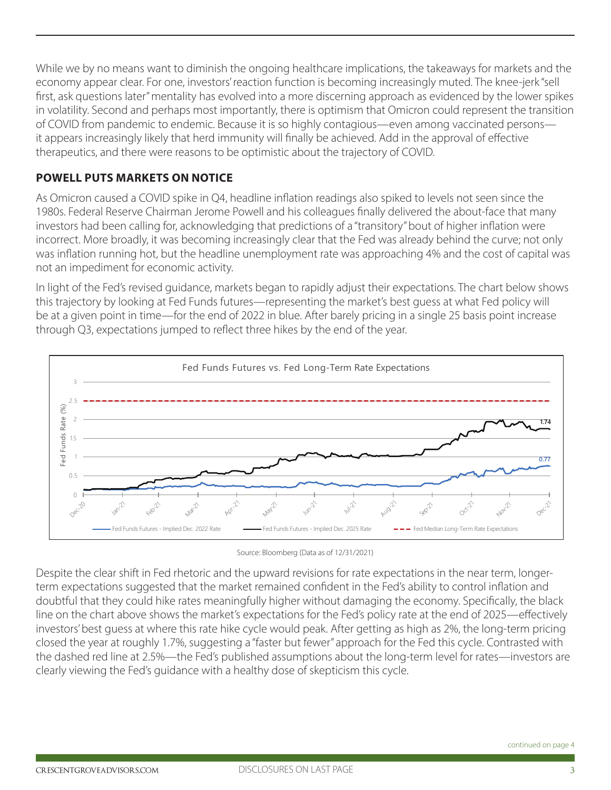While we by no means want to diminish the ongoing healthcare implications, the takeaways for markets and the economy appear clear. For one, investors' reaction function is becoming increasingly muted. The knee-jerk "sell first, ask questions later" mentality has evolved into a more discerning approach as evidenced by the lower spikes in volatility. Second and perhaps most importantly, there is optimism that Omicron could represent the transition of COVID from pandemic to endemic. Because it is so highly contagious—even among vaccinated persons it appears increasingly likely that herd immunity will finally be achieved. Add in the approval of effective therapeutics, and there were reasons to be optimistic about the trajectory of COVID.

#### **POWELL PUTS MARKETS ON NOTICE**

As Omicron caused a COVID spike in Q4, headline inflation readings also spiked to levels not seen since the 1980s. Federal Reserve Chairman Jerome Powell and his colleagues finally delivered the about-face that many investors had been calling for, acknowledging that predictions of a "transitory" bout of higher inflation were incorrect. More broadly, it was becoming increasingly clear that the Fed was already behind the curve; not only was inflation running hot, but the headline unemployment rate was approaching 4% and the cost of capital was not an impediment for economic activity.

In light of the Fed's revised guidance, markets began to rapidly adjust their expectations. The chart below shows this trajectory by looking at Fed Funds futures—representing the market's best guess at what Fed policy will be at a given point in time—for the end of 2022 in blue. After barely pricing in a single 25 basis point increase through Q3, expectations jumped to reflect three hikes by the end of the year.



Source: Bloomberg (Data as of 12/31/2021)

Despite the clear shift in Fed rhetoric and the upward revisions for rate expectations in the near term, longerterm expectations suggested that the market remained confident in the Fed's ability to control inflation and doubtful that they could hike rates meaningfully higher without damaging the economy. Specifically, the black line on the chart above shows the market's expectations for the Fed's policy rate at the end of 2025—effectively investors' best guess at where this rate hike cycle would peak. After getting as high as 2%, the long-term pricing closed the year at roughly 1.7%, suggesting a "faster but fewer" approach for the Fed this cycle. Contrasted with the dashed red line at 2.5%—the Fed's published assumptions about the long-term level for rates—investors are clearly viewing the Fed's guidance with a healthy dose of skepticism this cycle.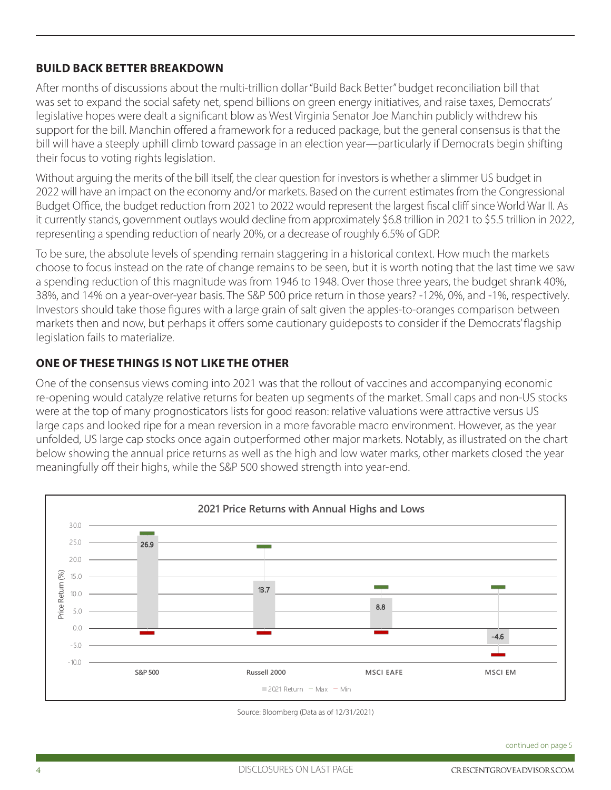#### **BUILD BACK BETTER BREAKDOWN**

After months of discussions about the multi-trillion dollar "Build Back Better" budget reconciliation bill that was set to expand the social safety net, spend billions on green energy initiatives, and raise taxes, Democrats' legislative hopes were dealt a significant blow as West Virginia Senator Joe Manchin publicly withdrew his support for the bill. Manchin offered a framework for a reduced package, but the general consensus is that the bill will have a steeply uphill climb toward passage in an election year—particularly if Democrats begin shifting their focus to voting rights legislation.

Without arguing the merits of the bill itself, the clear question for investors is whether a slimmer US budget in 2022 will have an impact on the economy and/or markets. Based on the current estimates from the Congressional Budget Office, the budget reduction from 2021 to 2022 would represent the largest fiscal cliff since World War II. As it currently stands, government outlays would decline from approximately \$6.8 trillion in 2021 to \$5.5 trillion in 2022, representing a spending reduction of nearly 20%, or a decrease of roughly 6.5% of GDP.

To be sure, the absolute levels of spending remain staggering in a historical context. How much the markets choose to focus instead on the rate of change remains to be seen, but it is worth noting that the last time we saw a spending reduction of this magnitude was from 1946 to 1948. Over those three years, the budget shrank 40%, 38%, and 14% on a year-over-year basis. The S&P 500 price return in those years? -12%, 0%, and -1%, respectively. Investors should take those figures with a large grain of salt given the apples-to-oranges comparison between markets then and now, but perhaps it offers some cautionary guideposts to consider if the Democrats' flagship legislation fails to materialize.

#### **ONE OF THESE THINGS IS NOT LIKE THE OTHER**

One of the consensus views coming into 2021 was that the rollout of vaccines and accompanying economic re-opening would catalyze relative returns for beaten up segments of the market. Small caps and non-US stocks were at the top of many prognosticators lists for good reason: relative valuations were attractive versus US large caps and looked ripe for a mean reversion in a more favorable macro environment. However, as the year unfolded, US large cap stocks once again outperformed other major markets. Notably, as illustrated on the chart below showing the annual price returns as well as the high and low water marks, other markets closed the year meaningfully off their highs, while the S&P 500 showed strength into year-end.



Source: Bloomberg (Data as of 12/31/2021)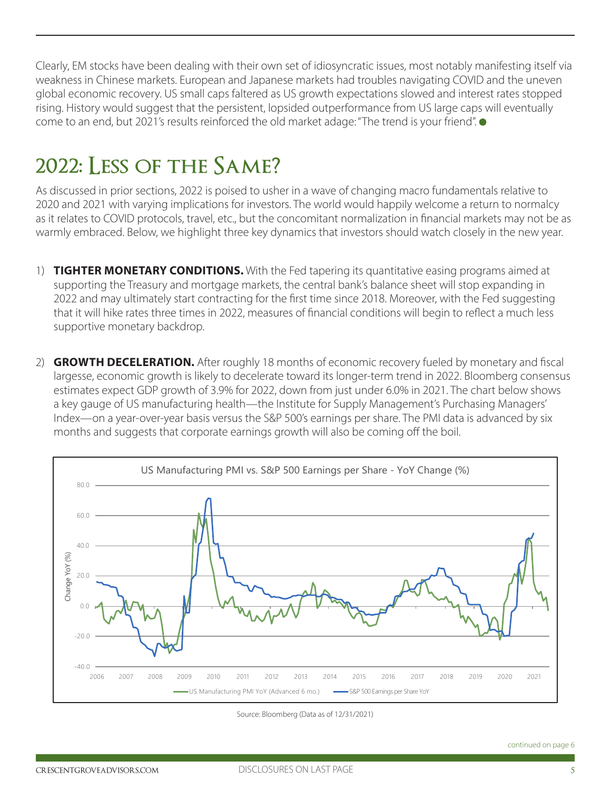Clearly, EM stocks have been dealing with their own set of idiosyncratic issues, most notably manifesting itself via weakness in Chinese markets. European and Japanese markets had troubles navigating COVID and the uneven global economic recovery. US small caps faltered as US growth expectations slowed and interest rates stopped rising. History would suggest that the persistent, lopsided outperformance from US large caps will eventually come to an end, but 2021's results reinforced the old market adage: "The trend is your friend".  $\bullet$ 

### **2022: Less of the Same?**

As discussed in prior sections, 2022 is poised to usher in a wave of changing macro fundamentals relative to 2020 and 2021 with varying implications for investors. The world would happily welcome a return to normalcy as it relates to COVID protocols, travel, etc., but the concomitant normalization in financial markets may not be as warmly embraced. Below, we highlight three key dynamics that investors should watch closely in the new year.

- 1) **TIGHTER MONETARY CONDITIONS.** With the Fed tapering its quantitative easing programs aimed at supporting the Treasury and mortgage markets, the central bank's balance sheet will stop expanding in 2022 and may ultimately start contracting for the first time since 2018. Moreover, with the Fed suggesting that it will hike rates three times in 2022, measures of financial conditions will begin to reflect a much less supportive monetary backdrop.
- 2) **GROWTH DECELERATION.** After roughly 18 months of economic recovery fueled by monetary and fiscal largesse, economic growth is likely to decelerate toward its longer-term trend in 2022. Bloomberg consensus estimates expect GDP growth of 3.9% for 2022, down from just under 6.0% in 2021. The chart below shows a key gauge of US manufacturing health—the Institute for Supply Management's Purchasing Managers' Index—on a year-over-year basis versus the S&P 500's earnings per share. The PMI data is advanced by six months and suggests that corporate earnings growth will also be coming off the boil.



Source: Bloomberg (Data as of 12/31/2021)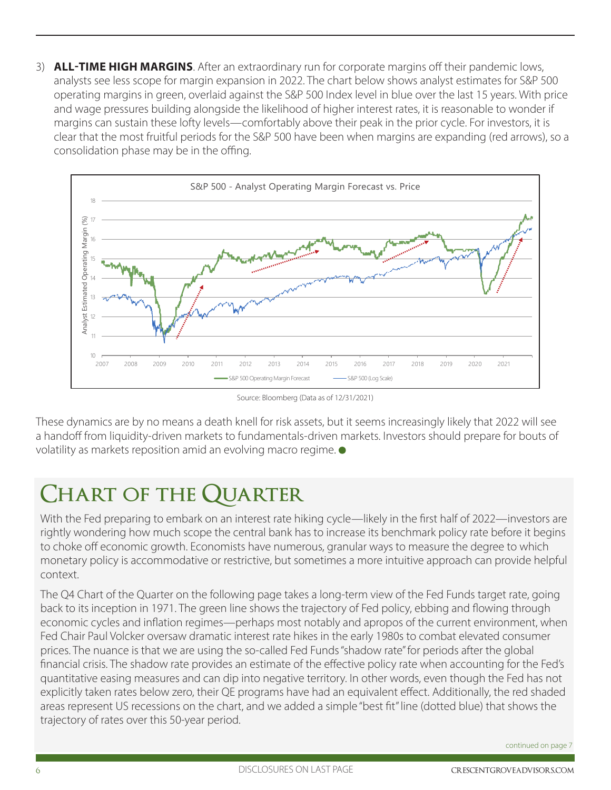3) **ALL-TIME HIGH MARGINS**. After an extraordinary run for corporate margins off their pandemic lows, analysts see less scope for margin expansion in 2022. The chart below shows analyst estimates for S&P 500 operating margins in green, overlaid against the S&P 500 Index level in blue over the last 15 years. With price and wage pressures building alongside the likelihood of higher interest rates, it is reasonable to wonder if margins can sustain these lofty levels—comfortably above their peak in the prior cycle. For investors, it is clear that the most fruitful periods for the S&P 500 have been when margins are expanding (red arrows), so a consolidation phase may be in the offing.



Source: Bloomberg (Data as of 12/31/2021)

These dynamics are by no means a death knell for risk assets, but it seems increasingly likely that 2022 will see a handoff from liquidity-driven markets to fundamentals-driven markets. Investors should prepare for bouts of volatility as markets reposition amid an evolving macro regime.

### **Chart of the Quarter**

With the Fed preparing to embark on an interest rate hiking cycle—likely in the first half of 2022—investors are rightly wondering how much scope the central bank has to increase its benchmark policy rate before it begins to choke off economic growth. Economists have numerous, granular ways to measure the degree to which monetary policy is accommodative or restrictive, but sometimes a more intuitive approach can provide helpful context.

The Q4 Chart of the Quarter on the following page takes a long-term view of the Fed Funds target rate, going back to its inception in 1971. The green line shows the trajectory of Fed policy, ebbing and flowing through economic cycles and inflation regimes—perhaps most notably and apropos of the current environment, when Fed Chair Paul Volcker oversaw dramatic interest rate hikes in the early 1980s to combat elevated consumer prices. The nuance is that we are using the so-called Fed Funds "shadow rate" for periods after the global financial crisis. The shadow rate provides an estimate of the effective policy rate when accounting for the Fed's quantitative easing measures and can dip into negative territory. In other words, even though the Fed has not explicitly taken rates below zero, their QE programs have had an equivalent effect. Additionally, the red shaded areas represent US recessions on the chart, and we added a simple "best fit" line (dotted blue) that shows the trajectory of rates over this 50-year period.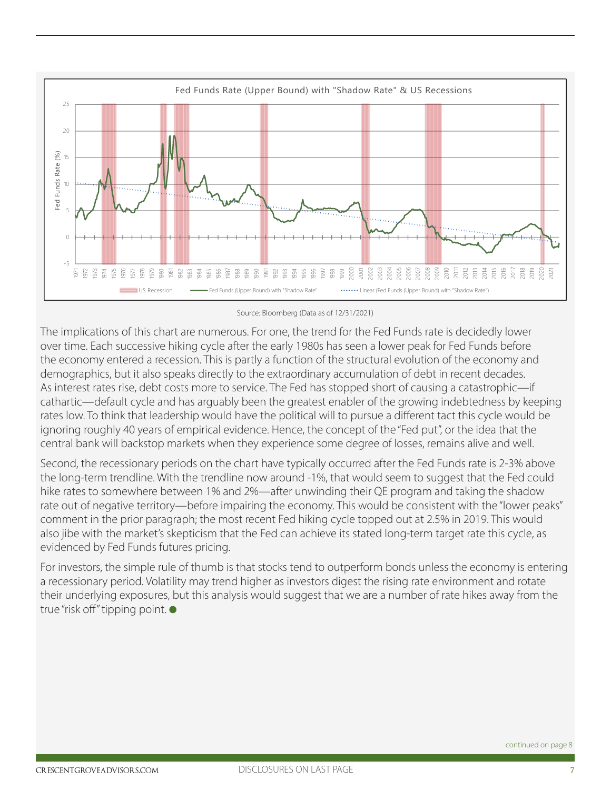

Source: Bloomberg (Data as of 12/31/2021)

The implications of this chart are numerous. For one, the trend for the Fed Funds rate is decidedly lower over time. Each successive hiking cycle after the early 1980s has seen a lower peak for Fed Funds before the economy entered a recession. This is partly a function of the structural evolution of the economy and demographics, but it also speaks directly to the extraordinary accumulation of debt in recent decades. As interest rates rise, debt costs more to service. The Fed has stopped short of causing a catastrophic—if cathartic—default cycle and has arguably been the greatest enabler of the growing indebtedness by keeping rates low. To think that leadership would have the political will to pursue a different tact this cycle would be ignoring roughly 40 years of empirical evidence. Hence, the concept of the "Fed put", or the idea that the central bank will backstop markets when they experience some degree of losses, remains alive and well.

Second, the recessionary periods on the chart have typically occurred after the Fed Funds rate is 2-3% above the long-term trendline. With the trendline now around -1%, that would seem to suggest that the Fed could hike rates to somewhere between 1% and 2%—after unwinding their QE program and taking the shadow rate out of negative territory—before impairing the economy. This would be consistent with the "lower peaks" comment in the prior paragraph; the most recent Fed hiking cycle topped out at 2.5% in 2019. This would also jibe with the market's skepticism that the Fed can achieve its stated long-term target rate this cycle, as evidenced by Fed Funds futures pricing.

For investors, the simple rule of thumb is that stocks tend to outperform bonds unless the economy is entering a recessionary period. Volatility may trend higher as investors digest the rising rate environment and rotate their underlying exposures, but this analysis would suggest that we are a number of rate hikes away from the true "risk off" tipping point.  $\bullet$